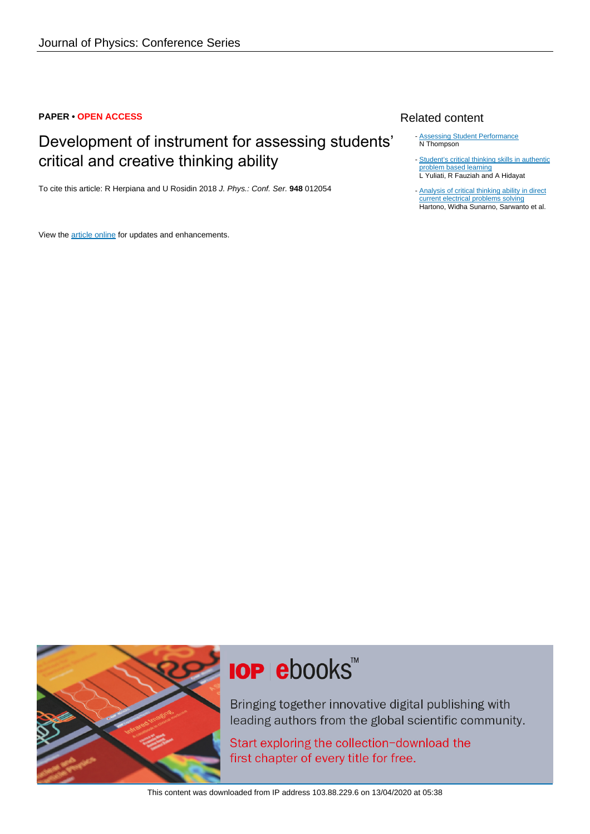# **PAPER • OPEN ACCESS**

# Development of instrument for assessing students' critical and creative thinking ability

To cite this article: R Herpiana and U Rosidin 2018 J. Phys.: Conf. Ser. **948** 012054

View the [article online](https://doi.org/10.1088/1742-6596/948/1/012054) for updates and enhancements.

# Related content

- [Assessing Student Performance](http://iopscience.iop.org/article/10.1088/0031-9112/28/9/029) N Thompson -
- [Student's critical thinking skills in authentic](http://iopscience.iop.org/article/10.1088/1742-6596/1013/1/012025) [problem based learning](http://iopscience.iop.org/article/10.1088/1742-6596/1013/1/012025) L Yuliati, R Fauziah and A Hidayat
- [Analysis of critical thinking ability in direct](http://iopscience.iop.org/article/10.1088/1742-6596/909/1/012061) [current electrical problems solving](http://iopscience.iop.org/article/10.1088/1742-6596/909/1/012061) Hartono, Widha Sunarno, Sarwanto et al.



# **IOP ebooks™**

Bringing together innovative digital publishing with leading authors from the global scientific community.

Start exploring the collection-download the first chapter of every title for free.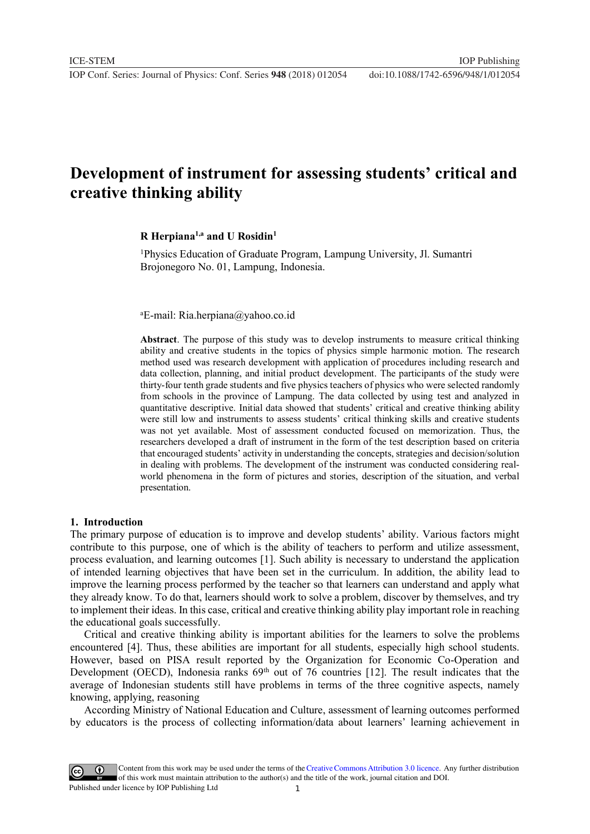# **Development of instrument for assessing students' critical and creative thinking ability**

# **R Herpiana1,a and U Rosidin1**

1 Physics Education of Graduate Program, Lampung University, Jl. Sumantri Brojonegoro No. 01, Lampung, Indonesia.

a E-mail: Ria.herpiana@yahoo.co.id

**Abstract**. The purpose of this study was to develop instruments to measure critical thinking ability and creative students in the topics of physics simple harmonic motion. The research method used was research development with application of procedures including research and data collection, planning, and initial product development. The participants of the study were thirty-four tenth grade students and five physics teachers of physics who were selected randomly from schools in the province of Lampung. The data collected by using test and analyzed in quantitative descriptive. Initial data showed that students' critical and creative thinking ability were still low and instruments to assess students' critical thinking skills and creative students was not yet available. Most of assessment conducted focused on memorization. Thus, the researchers developed a draft of instrument in the form of the test description based on criteria that encouraged students' activity in understanding the concepts, strategies and decision/solution in dealing with problems. The development of the instrument was conducted considering realworld phenomena in the form of pictures and stories, description of the situation, and verbal presentation.

#### **1. Introduction**

The primary purpose of education is to improve and develop students' ability. Various factors might contribute to this purpose, one of which is the ability of teachers to perform and utilize assessment, process evaluation, and learning outcomes [1]. Such ability is necessary to understand the application of intended learning objectives that have been set in the curriculum. In addition, the ability lead to improve the learning process performed by the teacher so that learners can understand and apply what they already know. To do that, learners should work to solve a problem, discover by themselves, and try to implement their ideas. In this case, critical and creative thinking ability play important role in reaching the educational goals successfully.

Critical and creative thinking ability is important abilities for the learners to solve the problems encountered [4]. Thus, these abilities are important for all students, especially high school students. However, based on PISA result reported by the Organization for Economic Co-Operation and Development (OECD), Indonesia ranks  $69<sup>th</sup>$  out of 76 countries [12]. The result indicates that the average of Indonesian students still have problems in terms of the three cognitive aspects, namely knowing, applying, reasoning

According Ministry of National Education and Culture, assessment of learning outcomes performed by educators is the process of collecting information/data about learners' learning achievement in

1 Content from this work may be used under the terms of the[Creative Commons Attribution 3.0 licence.](http://creativecommons.org/licenses/by/3.0) Any further distribution of this work must maintain attribution to the author(s) and the title of the work, journal citation and DOI. Published under licence by IOP Publishing Ltd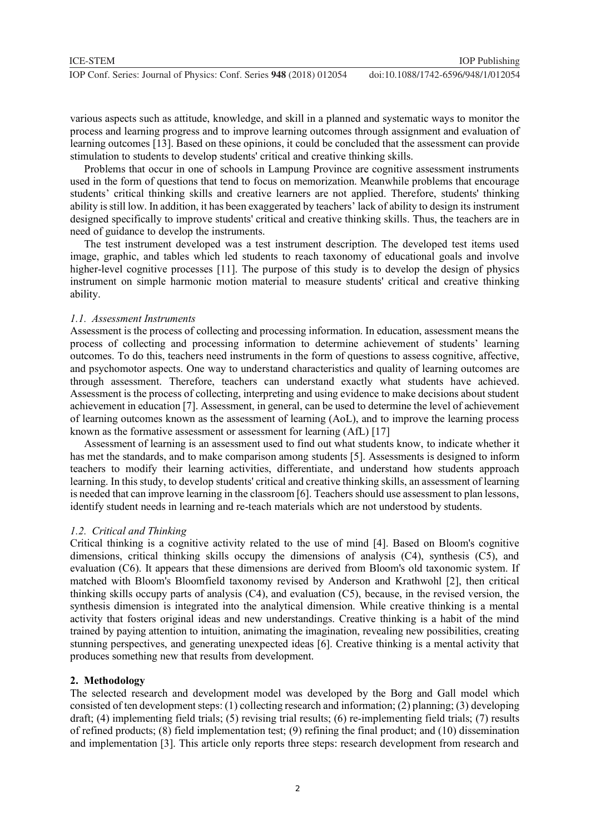| <b>ICE-STEM</b>                                                      | <b>IOP</b> Publishing              |
|----------------------------------------------------------------------|------------------------------------|
| IOP Conf. Series: Journal of Physics: Conf. Series 948 (2018) 012054 | doi:10.1088/1742-6596/948/1/012054 |

various aspects such as attitude, knowledge, and skill in a planned and systematic ways to monitor the process and learning progress and to improve learning outcomes through assignment and evaluation of learning outcomes [13]. Based on these opinions, it could be concluded that the assessment can provide stimulation to students to develop students' critical and creative thinking skills.

Problems that occur in one of schools in Lampung Province are cognitive assessment instruments used in the form of questions that tend to focus on memorization. Meanwhile problems that encourage students' critical thinking skills and creative learners are not applied. Therefore, students' thinking ability is still low. In addition, it has been exaggerated by teachers' lack of ability to design its instrument designed specifically to improve students' critical and creative thinking skills. Thus, the teachers are in need of guidance to develop the instruments.

The test instrument developed was a test instrument description. The developed test items used image, graphic, and tables which led students to reach taxonomy of educational goals and involve higher-level cognitive processes [11]. The purpose of this study is to develop the design of physics instrument on simple harmonic motion material to measure students' critical and creative thinking ability.

# *1.1. Assessment Instruments*

Assessment is the process of collecting and processing information. In education, assessment means the process of collecting and processing information to determine achievement of students' learning outcomes. To do this, teachers need instruments in the form of questions to assess cognitive, affective, and psychomotor aspects. One way to understand characteristics and quality of learning outcomes are through assessment. Therefore, teachers can understand exactly what students have achieved. Assessment is the process of collecting, interpreting and using evidence to make decisions about student achievement in education [7]. Assessment, in general, can be used to determine the level of achievement of learning outcomes known as the assessment of learning (AoL), and to improve the learning process known as the formative assessment or assessment for learning (AfL) [17]

Assessment of learning is an assessment used to find out what students know, to indicate whether it has met the standards, and to make comparison among students [5]. Assessments is designed to inform teachers to modify their learning activities, differentiate, and understand how students approach learning. In this study, to develop students' critical and creative thinking skills, an assessment of learning is needed that can improve learning in the classroom [6]. Teachers should use assessment to plan lessons, identify student needs in learning and re-teach materials which are not understood by students.

# *1.2. Critical and Thinking*

Critical thinking is a cognitive activity related to the use of mind [4]. Based on Bloom's cognitive dimensions, critical thinking skills occupy the dimensions of analysis (C4), synthesis (C5), and evaluation (C6). It appears that these dimensions are derived from Bloom's old taxonomic system. If matched with Bloom's Bloomfield taxonomy revised by Anderson and Krathwohl [2], then critical thinking skills occupy parts of analysis (C4), and evaluation (C5), because, in the revised version, the synthesis dimension is integrated into the analytical dimension. While creative thinking is a mental activity that fosters original ideas and new understandings. Creative thinking is a habit of the mind trained by paying attention to intuition, animating the imagination, revealing new possibilities, creating stunning perspectives, and generating unexpected ideas [6]. Creative thinking is a mental activity that produces something new that results from development.

# **2. Methodology**

The selected research and development model was developed by the Borg and Gall model which consisted of ten development steps: (1) collecting research and information; (2) planning; (3) developing draft; (4) implementing field trials; (5) revising trial results; (6) re-implementing field trials; (7) results of refined products; (8) field implementation test; (9) refining the final product; and (10) dissemination and implementation [3]. This article only reports three steps: research development from research and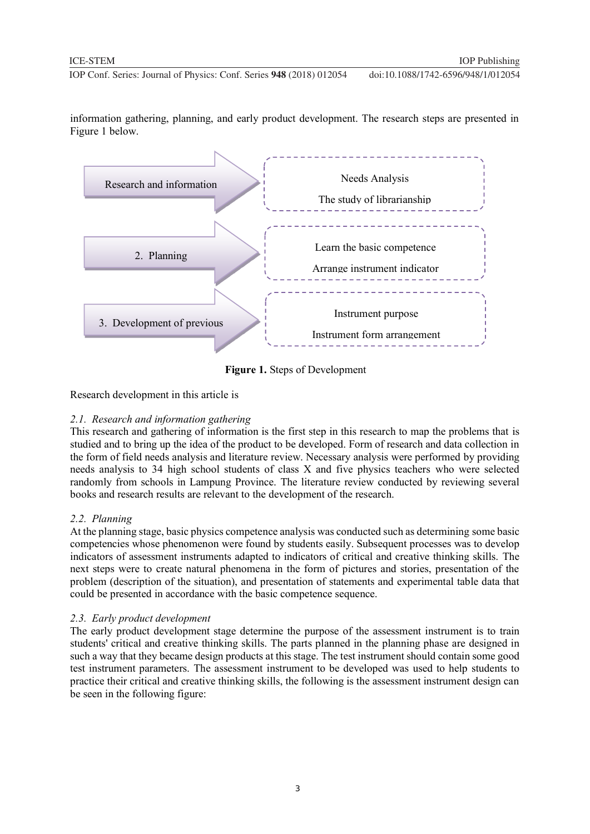information gathering, planning, and early product development. The research steps are presented in Figure 1 below.



**Figure 1.** Steps of Development

Research development in this article is

# *2.1. Research and information gathering*

This research and gathering of information is the first step in this research to map the problems that is studied and to bring up the idea of the product to be developed. Form of research and data collection in the form of field needs analysis and literature review. Necessary analysis were performed by providing needs analysis to 34 high school students of class X and five physics teachers who were selected randomly from schools in Lampung Province. The literature review conducted by reviewing several books and research results are relevant to the development of the research.

# *2.2. Planning*

At the planning stage, basic physics competence analysis was conducted such as determining some basic competencies whose phenomenon were found by students easily. Subsequent processes was to develop indicators of assessment instruments adapted to indicators of critical and creative thinking skills. The next steps were to create natural phenomena in the form of pictures and stories, presentation of the problem (description of the situation), and presentation of statements and experimental table data that could be presented in accordance with the basic competence sequence.

# *2.3. Early product development*

The early product development stage determine the purpose of the assessment instrument is to train students' critical and creative thinking skills. The parts planned in the planning phase are designed in such a way that they became design products at this stage. The test instrument should contain some good test instrument parameters. The assessment instrument to be developed was used to help students to practice their critical and creative thinking skills, the following is the assessment instrument design can be seen in the following figure: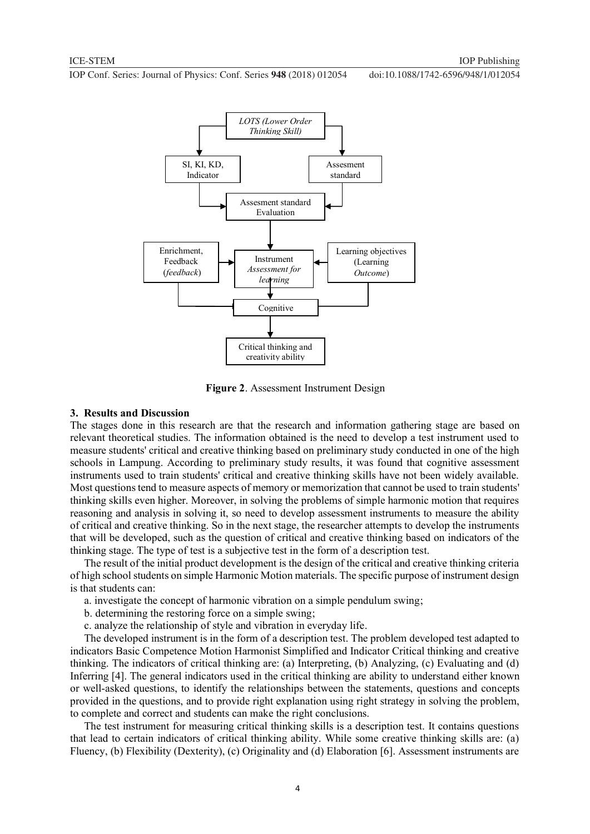

**Figure 2**. Assessment Instrument Design

#### **3. Results and Discussion**

The stages done in this research are that the research and information gathering stage are based on relevant theoretical studies. The information obtained is the need to develop a test instrument used to measure students' critical and creative thinking based on preliminary study conducted in one of the high schools in Lampung. According to preliminary study results, it was found that cognitive assessment instruments used to train students' critical and creative thinking skills have not been widely available. Most questions tend to measure aspects of memory or memorization that cannot be used to train students' thinking skills even higher. Moreover, in solving the problems of simple harmonic motion that requires reasoning and analysis in solving it, so need to develop assessment instruments to measure the ability of critical and creative thinking. So in the next stage, the researcher attempts to develop the instruments that will be developed, such as the question of critical and creative thinking based on indicators of the thinking stage. The type of test is a subjective test in the form of a description test.

The result of the initial product development is the design of the critical and creative thinking criteria of high school students on simple Harmonic Motion materials. The specific purpose of instrument design is that students can:

a. investigate the concept of harmonic vibration on a simple pendulum swing;

b. determining the restoring force on a simple swing;

c. analyze the relationship of style and vibration in everyday life.

The developed instrument is in the form of a description test. The problem developed test adapted to indicators Basic Competence Motion Harmonist Simplified and Indicator Critical thinking and creative thinking. The indicators of critical thinking are: (a) Interpreting, (b) Analyzing, (c) Evaluating and (d) Inferring [4]. The general indicators used in the critical thinking are ability to understand either known or well-asked questions, to identify the relationships between the statements, questions and concepts provided in the questions, and to provide right explanation using right strategy in solving the problem, to complete and correct and students can make the right conclusions.

The test instrument for measuring critical thinking skills is a description test. It contains questions that lead to certain indicators of critical thinking ability. While some creative thinking skills are: (a) Fluency, (b) Flexibility (Dexterity), (c) Originality and (d) Elaboration [6]. Assessment instruments are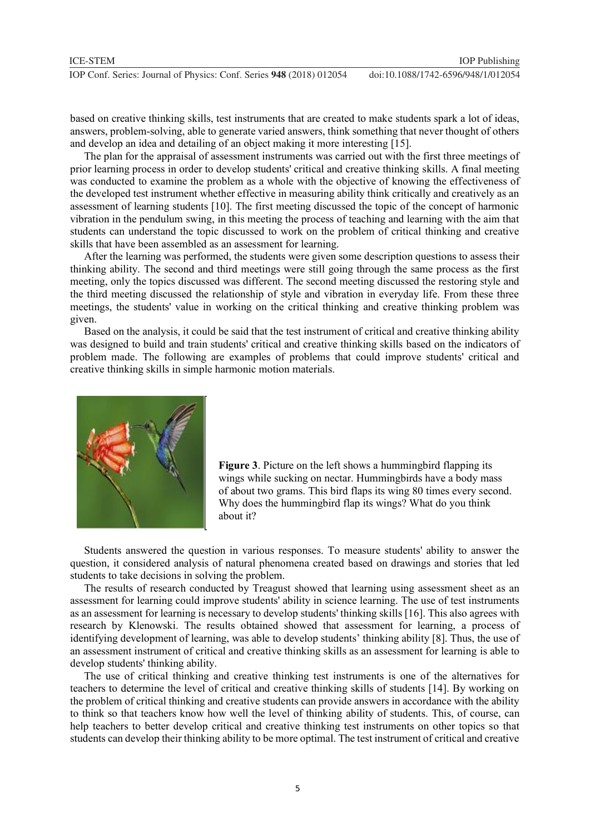based on creative thinking skills, test instruments that are created to make students spark a lot of ideas, answers, problem-solving, able to generate varied answers, think something that never thought of others and develop an idea and detailing of an object making it more interesting [15].

The plan for the appraisal of assessment instruments was carried out with the first three meetings of prior learning process in order to develop students' critical and creative thinking skills. A final meeting was conducted to examine the problem as a whole with the objective of knowing the effectiveness of the developed test instrument whether effective in measuring ability think critically and creatively as an assessment of learning students [10]. The first meeting discussed the topic of the concept of harmonic vibration in the pendulum swing, in this meeting the process of teaching and learning with the aim that students can understand the topic discussed to work on the problem of critical thinking and creative skills that have been assembled as an assessment for learning.

After the learning was performed, the students were given some description questions to assess their thinking ability. The second and third meetings were still going through the same process as the first meeting, only the topics discussed was different. The second meeting discussed the restoring style and the third meeting discussed the relationship of style and vibration in everyday life. From these three meetings, the students' value in working on the critical thinking and creative thinking problem was given.

Based on the analysis, it could be said that the test instrument of critical and creative thinking ability was designed to build and train students' critical and creative thinking skills based on the indicators of problem made. The following are examples of problems that could improve students' critical and creative thinking skills in simple harmonic motion materials.



**Figure 3**. Picture on the left shows a hummingbird flapping its wings while sucking on nectar. Hummingbirds have a body mass of about two grams. This bird flaps its wing 80 times every second. Why does the hummingbird flap its wings? What do you think about it?

Students answered the question in various responses. To measure students' ability to answer the question, it considered analysis of natural phenomena created based on drawings and stories that led students to take decisions in solving the problem.

The results of research conducted by Treagust showed that learning using assessment sheet as an assessment for learning could improve students' ability in science learning. The use of test instruments as an assessment for learning is necessary to develop students' thinking skills [16]. This also agrees with research by Klenowski. The results obtained showed that assessment for learning, a process of identifying development of learning, was able to develop students' thinking ability [8]. Thus, the use of an assessment instrument of critical and creative thinking skills as an assessment for learning is able to develop students' thinking ability.

The use of critical thinking and creative thinking test instruments is one of the alternatives for teachers to determine the level of critical and creative thinking skills of students [14]. By working on the problem of critical thinking and creative students can provide answers in accordance with the ability to think so that teachers know how well the level of thinking ability of students. This, of course, can help teachers to better develop critical and creative thinking test instruments on other topics so that students can develop their thinking ability to be more optimal. The test instrument of critical and creative